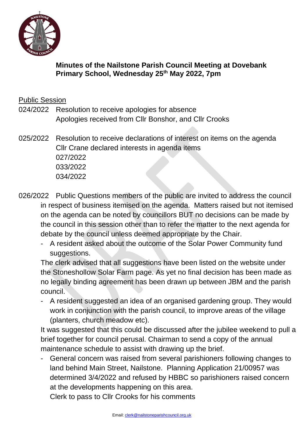

# **Minutes of the Nailstone Parish Council Meeting at Dovebank Primary School, Wednesday 25 th May 2022, 7pm**

Public Session

- 024/2022 Resolution to receive apologies for absence Apologies received from Cllr Bonshor, and Cllr Crooks
- 025/2022 Resolution to receive declarations of interest on items on the agenda Cllr Crane declared interests in agenda items 027/2022 033/2022 034/2022
- 026/2022 Public Questions members of the public are invited to address the council in respect of business itemised on the agenda. Matters raised but not itemised on the agenda can be noted by councillors BUT no decisions can be made by the council in this session other than to refer the matter to the next agenda for debate by the council unless deemed appropriate by the Chair.
	- A resident asked about the outcome of the Solar Power Community fund suggestions.

The clerk advised that all suggestions have been listed on the website under the Stoneshollow Solar Farm page. As yet no final decision has been made as no legally binding agreement has been drawn up between JBM and the parish council.

- A resident suggested an idea of an organised gardening group. They would work in conjunction with the parish council, to improve areas of the village (planters, church meadow etc).

It was suggested that this could be discussed after the jubilee weekend to pull a brief together for council perusal. Chairman to send a copy of the annual maintenance schedule to assist with drawing up the brief.

- General concern was raised from several parishioners following changes to land behind Main Street, Nailstone. Planning Application 21/00957 was determined 3/4/2022 and refused by HBBC so parishioners raised concern at the developments happening on this area.

Clerk to pass to Cllr Crooks for his comments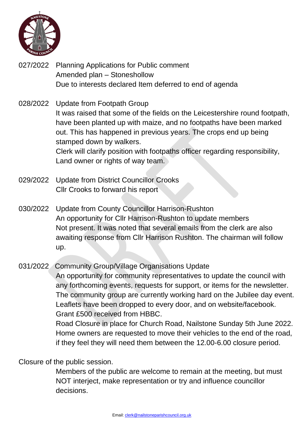

- 027/2022 Planning Applications for Public comment Amended plan – Stoneshollow Due to interests declared Item deferred to end of agenda
- 028/2022 Update from Footpath Group It was raised that some of the fields on the Leicestershire round footpath, have been planted up with maize, and no footpaths have been marked out. This has happened in previous years. The crops end up being stamped down by walkers. Clerk will clarify position with footpaths officer regarding responsibility, Land owner or rights of way team.
- 029/2022 Update from District Councillor Crooks Cllr Crooks to forward his report
- 030/2022 Update from County Councillor Harrison-Rushton An opportunity for Cllr Harrison-Rushton to update members Not present. It was noted that several emails from the clerk are also awaiting response from Cllr Harrison Rushton. The chairman will follow up.

031/2022 Community Group/Village Organisations Update An opportunity for community representatives to update the council with any forthcoming events, requests for support, or items for the newsletter. The community group are currently working hard on the Jubilee day event. Leaflets have been dropped to every door, and on website/facebook. Grant £500 received from HBBC.

Road Closure in place for Church Road, Nailstone Sunday 5th June 2022. Home owners are requested to move their vehicles to the end of the road, if they feel they will need them between the 12.00-6.00 closure period.

Closure of the public session.

Members of the public are welcome to remain at the meeting, but must NOT interject, make representation or try and influence councillor decisions.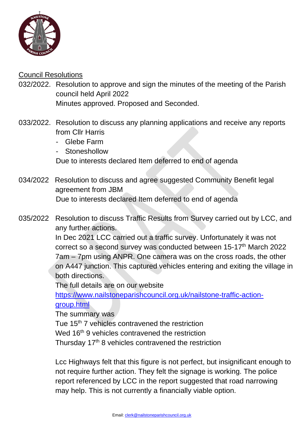

# Council Resolutions

032/2022. Resolution to approve and sign the minutes of the meeting of the Parish council held April 2022 Minutes approved. Proposed and Seconded.

- 033/2022. Resolution to discuss any planning applications and receive any reports from Cllr Harris
	- Glebe Farm
	- **Stoneshollow**

Due to interests declared Item deferred to end of agenda

034/2022 Resolution to discuss and agree suggested Community Benefit legal agreement from JBM Due to interests declared Item deferred to end of agenda

035/2022 Resolution to discuss Traffic Results from Survey carried out by LCC, and any further actions.

> In Dec 2021 LCC carried out a traffic survey. Unfortunately it was not correct so a second survey was conducted between 15-17<sup>th</sup> March 2022 7am – 7pm using ANPR. One camera was on the cross roads, the other on A447 junction. This captured vehicles entering and exiting the village in both directions.

The full details are on our website

[https://www.nailstoneparishcouncil.org.uk/nailstone-traffic-action](https://www.nailstoneparishcouncil.org.uk/nailstone-traffic-action-group.html)[group.html](https://www.nailstoneparishcouncil.org.uk/nailstone-traffic-action-group.html)

The summary was

Tue 15<sup>th</sup> 7 vehicles contravened the restriction

Wed 16<sup>th</sup> 9 vehicles contravened the restriction

Thursday  $17<sup>th</sup>$  8 vehicles contravened the restriction

Lcc Highways felt that this figure is not perfect, but insignificant enough to not require further action. They felt the signage is working. The police report referenced by LCC in the report suggested that road narrowing may help. This is not currently a financially viable option.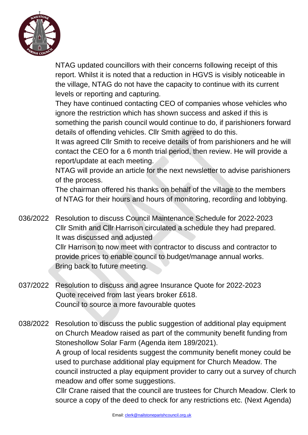

NTAG updated councillors with their concerns following receipt of this report. Whilst it is noted that a reduction in HGVS is visibly noticeable in the village, NTAG do not have the capacity to continue with its current levels or reporting and capturing.

They have continued contacting CEO of companies whose vehicles who ignore the restriction which has shown success and asked if this is something the parish council would continue to do, if parishioners forward details of offending vehicles. Cllr Smith agreed to do this.

It was agreed Cllr Smith to receive details of from parishioners and he will contact the CEO for a 6 month trial period, then review. He will provide a report/update at each meeting.

NTAG will provide an article for the next newsletter to advise parishioners of the process.

The chairman offered his thanks on behalf of the village to the members of NTAG for their hours and hours of monitoring, recording and lobbying.

036/2022 Resolution to discuss Council Maintenance Schedule for 2022-2023 Cllr Smith and Cllr Harrison circulated a schedule they had prepared. It was discussed and adjusted Cllr Harrison to now meet with contractor to discuss and contractor to provide prices to enable council to budget/manage annual works. Bring back to future meeting.

- 037/2022 Resolution to discuss and agree Insurance Quote for 2022-2023 Quote received from last years broker £618. Council to source a more favourable quotes
- 038/2022 Resolution to discuss the public suggestion of additional play equipment on Church Meadow raised as part of the community benefit funding from Stoneshollow Solar Farm (Agenda item 189/2021).

A group of local residents suggest the community benefit money could be used to purchase additional play equipment for Church Meadow. The council instructed a play equipment provider to carry out a survey of church meadow and offer some suggestions.

Cllr Crane raised that the council are trustees for Church Meadow. Clerk to source a copy of the deed to check for any restrictions etc. (Next Agenda)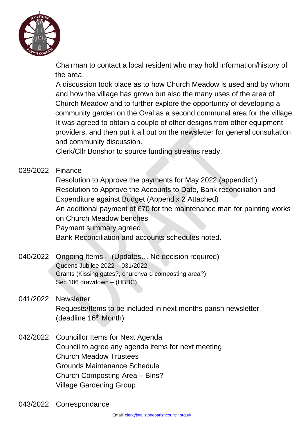

Chairman to contact a local resident who may hold information/history of the area.

A discussion took place as to how Church Meadow is used and by whom and how the village has grown but also the many uses of the area of Church Meadow and to further explore the opportunity of developing a community garden on the Oval as a second communal area for the village. It was agreed to obtain a couple of other designs from other equipment providers, and then put it all out on the newsletter for general consultation and community discussion.

Clerk/Cllr Bonshor to source funding streams ready,

# 039/2022 Finance

Resolution to Approve the payments for May 2022 (appendix1) Resolution to Approve the Accounts to Date, Bank reconciliation and Expenditure against Budget (Appendix 2 Attached) An additional payment of £70 for the maintenance man for painting works on Church Meadow benches Payment summary agreed Bank Reconciliation and accounts schedules noted.

#### 040/2022 Ongoing Items - (Updates… No decision required) Queens Jubilee 2022 – 031/2022 Grants (Kissing gates?, churchyard composting area?) Sec 106 drawdown – (HBBC)

- 041/2022 Newsletter Requests/Items to be included in next months parish newsletter (deadline 16<sup>th</sup> Month)
- 042/2022 Councillor Items for Next Agenda Council to agree any agenda items for next meeting Church Meadow Trustees Grounds Maintenance Schedule Church Composting Area – Bins? Village Gardening Group
- 043/2022 Correspondance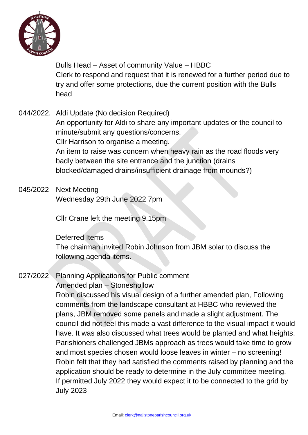

Bulls Head – Asset of community Value – HBBC Clerk to respond and request that it is renewed for a further period due to try and offer some protections, due the current position with the Bulls head

- 044/2022. Aldi Update (No decision Required) An opportunity for Aldi to share any important updates or the council to minute/submit any questions/concerns. Cllr Harrison to organise a meeting. An item to raise was concern when heavy rain as the road floods very badly between the site entrance and the junction (drains blocked/damaged drains/insufficient drainage from mounds?)
- 045/2022 Next Meeting Wednesday 29th June 2022 7pm

Cllr Crane left the meeting 9.15pm

# Deferred Items

The chairman invited Robin Johnson from JBM solar to discuss the following agenda items.

027/2022 Planning Applications for Public comment

# Amended plan – Stoneshollow

Robin discussed his visual design of a further amended plan, Following comments from the landscape consultant at HBBC who reviewed the plans, JBM removed some panels and made a slight adjustment. The council did not feel this made a vast difference to the visual impact it would have. It was also discussed what trees would be planted and what heights. Parishioners challenged JBMs approach as trees would take time to grow and most species chosen would loose leaves in winter – no screening! Robin felt that they had satisfied the comments raised by planning and the application should be ready to determine in the July committee meeting. If permitted July 2022 they would expect it to be connected to the grid by July 2023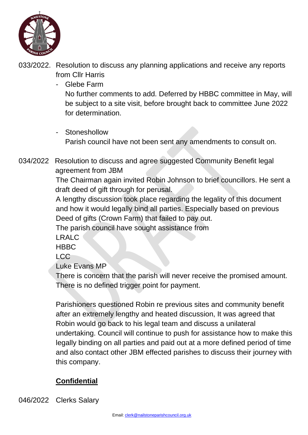

- 033/2022. Resolution to discuss any planning applications and receive any reports from Cllr Harris
	- Glebe Farm

No further comments to add. Deferred by HBBC committee in May, will be subject to a site visit, before brought back to committee June 2022 for determination.

- Stoneshollow Parish council have not been sent any amendments to consult on.
- 034/2022 Resolution to discuss and agree suggested Community Benefit legal agreement from JBM

The Chairman again invited Robin Johnson to brief councillors. He sent a draft deed of gift through for perusal.

A lengthy discussion took place regarding the legality of this document and how it would legally bind all parties. Especially based on previous Deed of gifts (Crown Farm) that failed to pay out.

The parish council have sought assistance from

LRALC

**HBBC** 

LCC

Luke Evans MP

There is concern that the parish will never receive the promised amount. There is no defined trigger point for payment.

Parishioners questioned Robin re previous sites and community benefit after an extremely lengthy and heated discussion, It was agreed that Robin would go back to his legal team and discuss a unilateral undertaking. Council will continue to push for assistance how to make this legally binding on all parties and paid out at a more defined period of time and also contact other JBM effected parishes to discuss their journey with this company.

# **Confidential**

046/2022 Clerks Salary